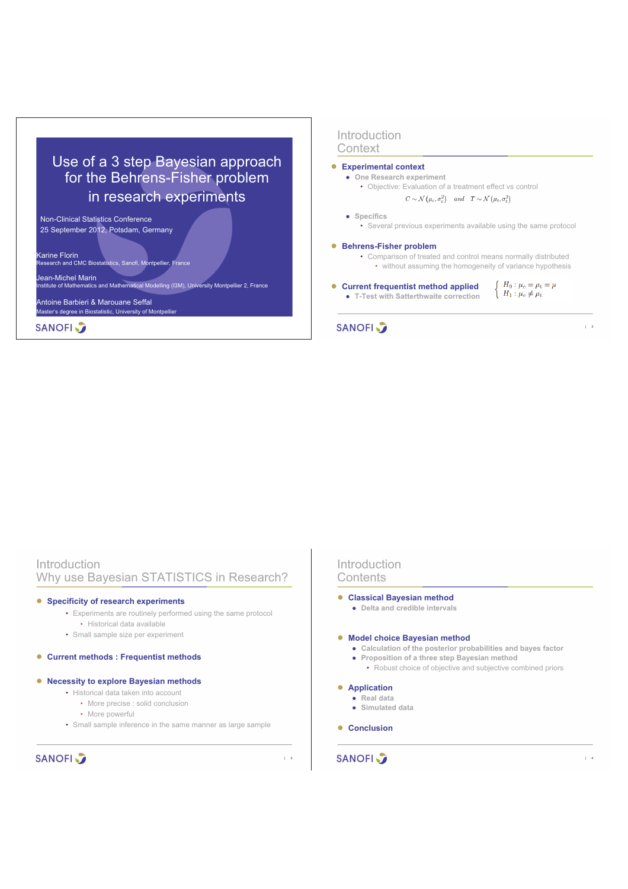# Use of a 3 step Bayesian approach for the Behrens-Fisher problem in research experiments

Non-Clinical Statistics Conference 25 September 2012, Potsdam, Germany

Karine Florin Research and CMC Biostatistics, Sanofi, Montpellier, France

Jean-Michel Marin

Institute of Mathematics and Mathematical Modelling (I3M), University Montpellier 2, France

Antoine Barbieri & Marouane Seffal Master's degree in Biostatistic, University of Montpellier

**SANOFI** 

# Introduction **Context**

#### ! **Experimental context**

- ! **One Research experiment**
	- Objective: Evaluation of a treatment effect vs control  $C \sim \mathcal{N}(\mu_c, \sigma_c^2)$  and  $T \sim \mathcal{N}(\mu_t, \sigma_t^2)$
- $\bullet$  Specifics
	- Several previous experiments available using the same protocol

### ! **Behrens-Fisher problem**

- Comparison of treated and control means normally distributed
	- without assuming the homogeneity of variance hypothesis

 $\int H_0: \mu_c = \mu_t = \mu$  $\left\{ H_1 : \mu_c \neq \mu_t \right\}$ 

| 3

! **Current frequentist method applied**

! **T-Test with Satterthwaite correction**

# **SANOFI**

| Introduction<br>Why use Bayesian STATISTICS in Research?                                                                                                | Introduction<br>Contents                                                                                                                                                      |  |  |  |
|---------------------------------------------------------------------------------------------------------------------------------------------------------|-------------------------------------------------------------------------------------------------------------------------------------------------------------------------------|--|--|--|
| <b>Specificity of research experiments</b><br>$\bullet$<br>• Experiments are routinely performed using the same protocol<br>• Historical data available | <b>Classical Bayesian method</b><br>• Delta and credible intervals                                                                                                            |  |  |  |
| • Small sample size per experiment                                                                                                                      | • Model choice Bayesian method                                                                                                                                                |  |  |  |
| <b>Current methods: Frequentist methods</b><br>$\bullet$                                                                                                | • Calculation of the posterior probabilities and bayes factor<br>• Proposition of a three step Bayesian method<br>• Robust choice of objective and subjective combined priors |  |  |  |
| <b>Necessity to explore Bayesian methods</b><br>$\bullet$                                                                                               | • Application                                                                                                                                                                 |  |  |  |
| • Historical data taken into account                                                                                                                    | • Real data                                                                                                                                                                   |  |  |  |
| • More precise : solid conclusion<br>• More powerful                                                                                                    | • Simulated data                                                                                                                                                              |  |  |  |
| • Small sample inference in the same manner as large sample                                                                                             | <b>Conclusion</b>                                                                                                                                                             |  |  |  |
| <b>SANOFI</b><br>$\vert$ 2                                                                                                                              | <b>SANOFI</b><br>$\overline{4}$                                                                                                                                               |  |  |  |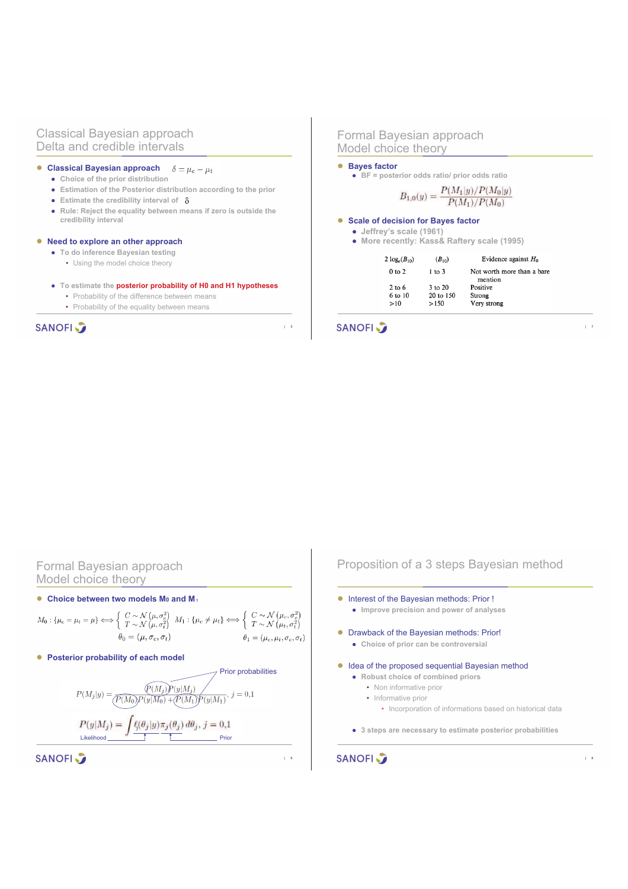#### Classical Bayesian approach Delta and credible intervals

#### ! **Classical Bayesian approach**  $\delta = \mu_c - \mu_t$

- ! **Choice of the prior distribution**
- ! **Estimation of the Posterior distribution according to the prior**
- $\bullet$  Estimate the credibility interval of  $\delta$
- ! **Rule: Reject the equality between means if zero is outside the credibility interval**

#### ! **Need to explore an other approach**

- ! **To do inference Bayesian testing** 
	- Using the model choice theory

#### ! **To estimate the posterior probability of H0 and H1 hypotheses**

- Probability of the difference between means
- Probability of the equality between means

# **SANOFI**

#### Formal Bayesian approach Model choice theory

#### ! **Bayes factor**

! **BF = posterior odds ratio/ prior odds ratio**

 $B_{1,0}(y) = \frac{P(M_1|y)/P(M_0|y)}{P(M_1)/P(M_0)}$ 

#### ! **Scale of decision for Bayes factor**

- ! **Jeffrey's scale (1961)**
- ! **More recently: Kass& Raftery scale (1995)**

| 2 $log_e(B_{10})$ | $(B_{10})$ | Evidence against $H_0$                |
|-------------------|------------|---------------------------------------|
| 0 <sub>to</sub> 2 | $1$ to $3$ | Not worth more than a bare<br>mention |
| $2$ to 6          | 3 to 20    | Positive                              |
| 6 to 10           | 20 to 150  | Strong                                |
| >10               | >150       | Very strong                           |

| 7

#### **SANOFI**

| 5

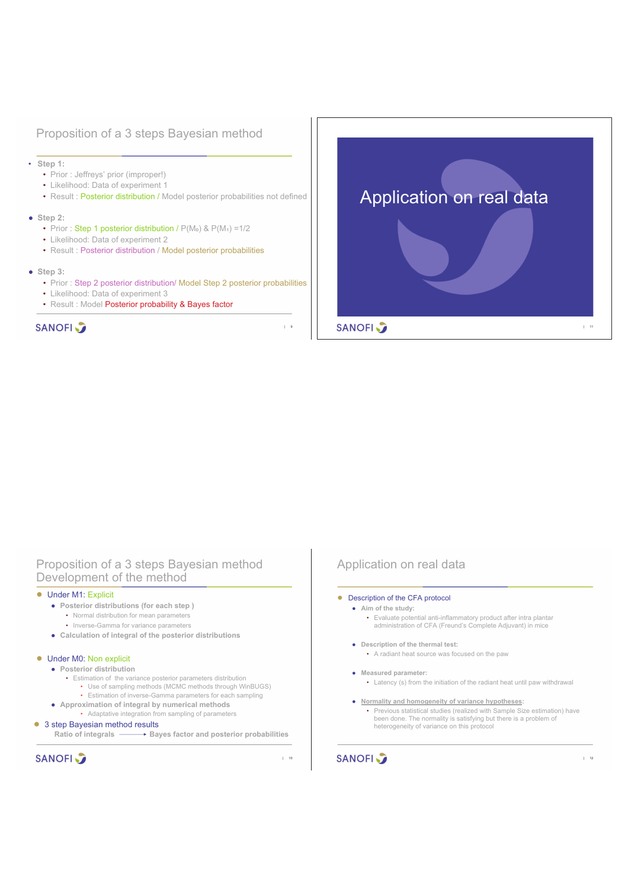# Proposition of a 3 steps Bayesian method

- **Step 1:** 
	- Prior : Jeffreys' prior (improper!)
	- Likelihood: Data of experiment 1
	- Result : Posterior distribution / Model posterior probabilities not defined

#### ! **Step 2:**

- Prior: Step 1 posterior distribution /  $P(M_0)$  &  $P(M_1) = 1/2$
- Likelihood: Data of experiment 2
- Result : Posterior distribution / Model posterior probabilities
- ! **Step 3:** 
	- Prior : Step 2 posterior distribution/ Model Step 2 posterior probabilities
	- Likelihood: Data of experiment 3
	- Result : Model Posterior probability & Bayes factor

# **SANOFI**

# Application on real data **SANOFI** | 11

# Proposition of a 3 steps Bayesian method Development of the method

#### • Under M1: Explicit

- ! **Posterior distributions (for each step )**
	- Normal distribution for mean parameters
	- Inverse-Gamma for variance parameters
- ! **Calculation of integral of the posterior distributions**

#### **.** Under M0: Non explicit

- ! **Posterior distribution**
	- Estimation of the variance posterior parameters distribution
		- Use of sampling methods (MCMC methods through WinBUGS)
		- Estimation of inverse-Gamma parameters for each sampling
- ! **Approximation of integral by numerical methods** • Adaptative integration from sampling of parameters

#### ● 3 step Bayesian method results

Ratio of integrals **Bayes factor and posterior probabilities** 

**SANOFI** 

| 10

| 9

#### Application on real data

#### • Description of the CFA protocol

- ! **Aim of the study:**  • Evaluate potential anti-inflammatory product after intra plantar administration of CFA (Freund's Complete Adjuvant) in mice
- ! **Description of the thermal test:** 
	- A radiant heat source was focused on the paw

#### $\bullet$  Measured parameter:

- Latency (s) from the initiation of the radiant heat until paw withdrawal
- ! **Normality and homogeneity of variance hypotheses:**  • Previous statistical studies (realized with Sample Size estimation) have been done. The normality is satisfying but there is a problem of heterogeneity of variance on this protocol

| 12

**SANOFI**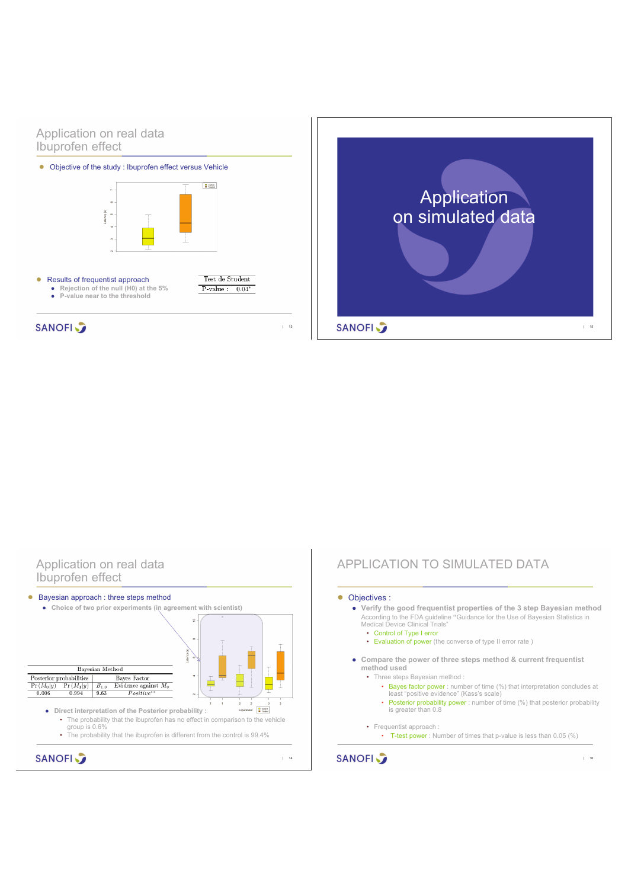# Application on real data Ibuprofen effect



# **SANOFI**

| 13



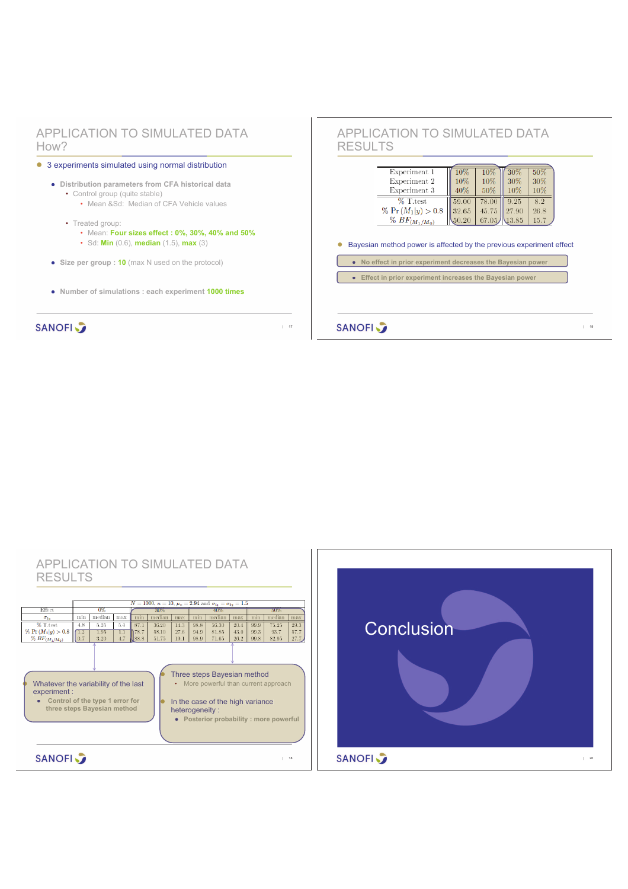# APPLICATION TO SIMULATED DATA How?



**SANOFI** 

| 17

# APPLICATION TO SIMULATED DATA RESULTS

| Experiment 1<br>Experiment 2                     | 10%<br>10% | 10%<br>10% | 30%<br>30% | 50%<br>30% |
|--------------------------------------------------|------------|------------|------------|------------|
| Experiment 3                                     | 40%        | 50%        | $10\%$     | 10%        |
| $\%$ T.test                                      | 59.00      | 78.00      | 9.25       | 8.2        |
| % $Pr(M_1 y) > 0.8$                              | 32.65      | 45.75      | 27.90      | 26.8       |
| $\%$ BF <sub>(M<sub>1</sub>/M<sub>0</sub>)</sub> | 50.20      | 67.05.     | 13.85      | 15.7       |

! Bayesian method power is affected by the previous experiment effect

**e** No effect in prior experiment decreases the Bayesian power

**•** Effect in prior experiment increases the Bayesian power